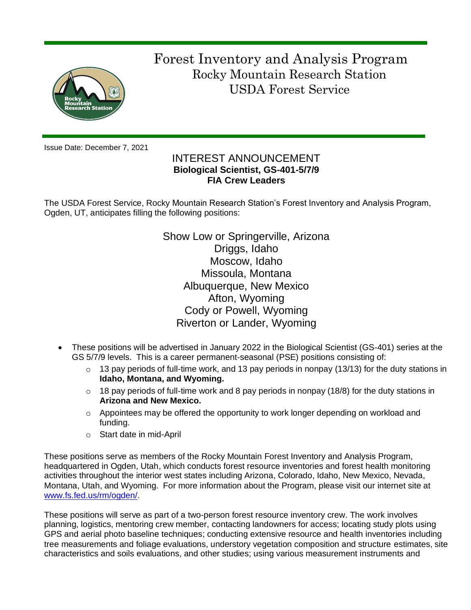

 Forest Inventory and Analysis Program Rocky Mountain Research Station USDA Forest Service

Issue Date: December 7, 2021

# INTEREST ANNOUNCEMENT **Biological Scientist, GS-401-5/7/9 FIA Crew Leaders**

The USDA Forest Service, Rocky Mountain Research Station's Forest Inventory and Analysis Program, Ogden, UT, anticipates filling the following positions:

> Show Low or Springerville, Arizona Driggs, Idaho Moscow, Idaho Missoula, Montana Albuquerque, New Mexico Afton, Wyoming Cody or Powell, Wyoming Riverton or Lander, Wyoming

- These positions will be advertised in January 2022 in the Biological Scientist (GS-401) series at the GS 5/7/9 levels. This is a career permanent-seasonal (PSE) positions consisting of:
	- $\circ$  13 pay periods of full-time work, and 13 pay periods in nonpay (13/13) for the duty stations in **Idaho, Montana, and Wyoming.**
	- $\circ$  18 pay periods of full-time work and 8 pay periods in nonpay (18/8) for the duty stations in **Arizona and New Mexico.**
	- $\circ$  Appointees may be offered the opportunity to work longer depending on workload and funding.
	- o Start date in mid-April

These positions serve as members of the Rocky Mountain Forest Inventory and Analysis Program, headquartered in Ogden, Utah, which conducts forest resource inventories and forest health monitoring activities throughout the interior west states including Arizona, Colorado, Idaho, New Mexico, Nevada, Montana, Utah, and Wyoming. For more information about the Program, please visit our internet site at [www.fs.fed.us/rm/ogden/.](http://www.fs.fed.us/rm/ogden/)

These positions will serve as part of a two-person forest resource inventory crew. The work involves planning, logistics, mentoring crew member, contacting landowners for access; locating study plots using GPS and aerial photo baseline techniques; conducting extensive resource and health inventories including tree measurements and foliage evaluations, understory vegetation composition and structure estimates, site characteristics and soils evaluations, and other studies; using various measurement instruments and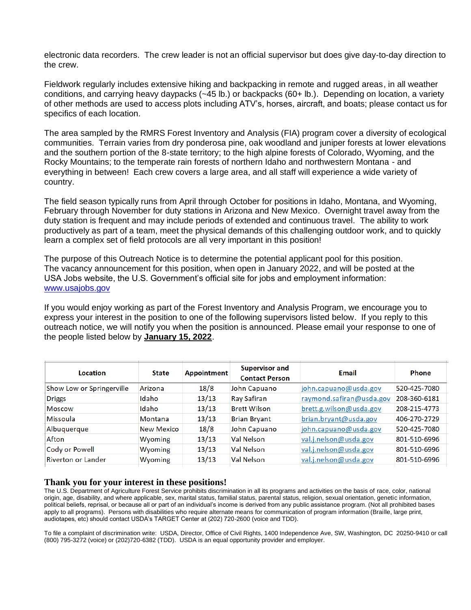electronic data recorders. The crew leader is not an official supervisor but does give day-to-day direction to the crew.

Fieldwork regularly includes extensive hiking and backpacking in remote and rugged areas, in all weather conditions, and carrying heavy daypacks (~45 lb.) or backpacks (60+ lb.). Depending on location, a variety of other methods are used to access plots including ATV's, horses, aircraft, and boats; please contact us for specifics of each location.

The area sampled by the RMRS Forest Inventory and Analysis (FIA) program cover a diversity of ecological communities. Terrain varies from dry ponderosa pine, oak woodland and juniper forests at lower elevations and the southern portion of the 8-state territory; to the high alpine forests of Colorado, Wyoming, and the Rocky Mountains; to the temperate rain forests of northern Idaho and northwestern Montana - and everything in between! Each crew covers a large area, and all staff will experience a wide variety of country.

The field season typically runs from April through October for positions in Idaho, Montana, and Wyoming, February through November for duty stations in Arizona and New Mexico. Overnight travel away from the duty station is frequent and may include periods of extended and continuous travel. The ability to work productively as part of a team, meet the physical demands of this challenging outdoor work, and to quickly learn a complex set of field protocols are all very important in this position!

The purpose of this Outreach Notice is to determine the potential applicant pool for this position. The vacancy announcement for this position, when open in January 2022, and will be posted at the USA Jobs website, the U.S. Government's official site for jobs and employment information: [www.usajobs.gov](http://www.usajobs.gov/)

If you would enjoy working as part of the Forest Inventory and Analysis Program, we encourage you to express your interest in the position to one of the following supervisors listed below. If you reply to this outreach notice, we will notify you when the position is announced. Please email your response to one of the people listed below by **January 15, 2022**.

| Location                  | <b>State</b>      | Appointment | <b>Supervisor and</b><br><b>Contact Person</b> | Email                    | <b>Phone</b> |
|---------------------------|-------------------|-------------|------------------------------------------------|--------------------------|--------------|
| Show Low or Springerville | Arizona           | 18/8        | John Capuano                                   | john.capuano@usda.gov    | 520-425-7080 |
| <b>Driggs</b>             | Idaho             | 13/13       | Ray Safiran                                    | raymond.safiran@usda.gov | 208-360-6181 |
| Moscow                    | Idaho             | 13/13       | <b>Brett Wilson</b>                            | brett.g.wilson@usda.gov  | 208-215-4773 |
| Missoula                  | Montana           | 13/13       | <b>Brian Bryant</b>                            | brian.bryant@usda.gov    | 406-270-2729 |
| Albuquerque               | <b>New Mexico</b> | 18/8        | John Capuano                                   | john.capuano@usda.gov    | 520-425-7080 |
| Afton                     | Wyoming           | 13/13       | <b>Val Nelson</b>                              | val.j.nelson@usda.gov    | 801-510-6996 |
| <b>Cody or Powell</b>     | Wyoming           | 13/13       | Val Nelson                                     | val.j.nelson@usda.gov    | 801-510-6996 |
| <b>Riverton or Lander</b> | Wyoming           | 13/13       | <b>Val Nelson</b>                              | val.j.nelson@usda.gov    | 801-510-6996 |

#### **Thank you for your interest in these positions!**

The U.S. Department of Agriculture Forest Service prohibits discrimination in all its programs and activities on the basis of race, color, national origin, age, disability, and where applicable, sex, marital status, familial status, parental status, religion, sexual orientation, genetic information, political beliefs, reprisal, or because all or part of an individual's income is derived from any public assistance program. (Not all prohibited bases apply to all programs). Persons with disabilities who require alternate means for communication of program information (Braille, large print, audiotapes, etc) should contact USDA's TARGET Center at (202) 720-2600 (voice and TDD).

To file a complaint of discrimination write: USDA, Director, Office of Civil Rights, 1400 Independence Ave, SW, Washington, DC 20250-9410 or call (800) 795-3272 (voice) or (202)720-6382 (TDD). USDA is an equal opportunity provider and employer.